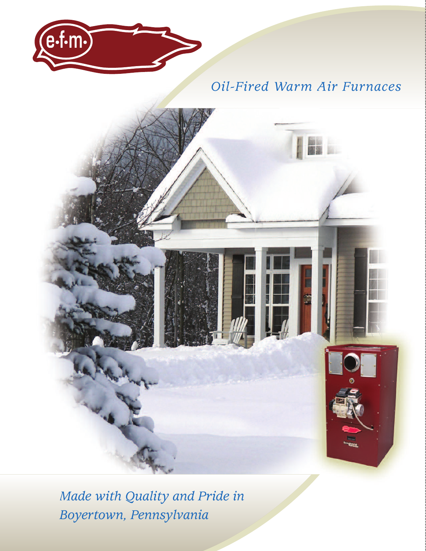

# *Oil-Fired Warm Air Furnaces*



*Made with Quality and Pride in Boyertown, Pennsylvania*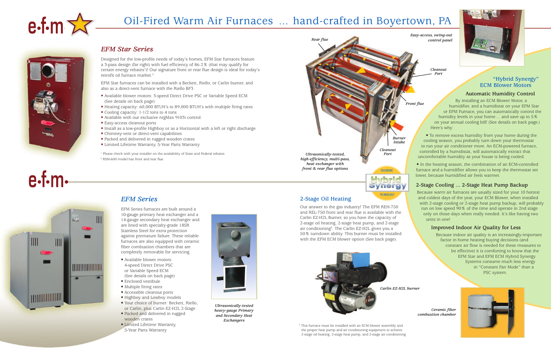## *EFM Series*

EFM Series furnaces are built around a 10-gauge primary heat exchanger and a 14-gauge secondary heat exchanger and are lined with specialty-grade 18SR Stainless Steel for extra protection against premature failure. These reliable furnaces are also equipped with ceramic fiber combustion chambers that are completely removable for servicing.

<sup>1</sup> Please check with your installer on the availability of State and Federal rebates. <sup>2</sup> RSM-600 model has front and rear flue.

- Available blower motors: 4-speed Direct Drive PSC or Variable Speed ECM (See details on back page)
- Enclosed vestibule
- Multiple firing rates
- Accessible cleanout ports
- Highboy and Lowboy models
- Your choice of burner: Beckett, Riello, or Carlin, plus Carlin EZ-H2L 2-Stage
- Packed and delivered in rugged wooden crates
- Limited Lifetime Warranty, 5-Year Parts Warranty



*Ultrasonically-tested heavy-gauge Primary and Secondary Heat Exchangers*

### *EFM Star Series*

Designed for the low-profile needs of today's homes, EFM Star furnaces feature a 3-pass design (far right) with fuel efficiency of 86.2% (that may qualify for certain energy rebates<sup>1</sup>)! Our signature front or rear flue design is ideal for today's retrofit oil furnace market. 2

> <sup>3</sup> This furnace must be installed with an ECM blower assembly and the proper heat pump and air conditioning equipment to achieve 2-stage oil heating, 2-stage heat pump, and 2-stage air conditioning.



EFM Star furnaces can be installed with a Beckett, Riello, or Carlin burner, and also as a direct-vent furnace with the Riello BF3.

- Available blower motors: 3-speed Direct Drive PSC or Variable Speed ECM (See details on back page)
- Heating capacity: 60,000 BTUH's to 89,000 BTUH's with multiple firing rates
- Cooling capacity: 1-1/2 tons to 4 tons
- Available with our exclusive nrgMax 9103i control.
- Easy-access cleanout ports
- Install as a low-profile Highboy or as a Horizontal with a left or right discharge
- Chimney-vent or direct-vent capabilities
- Packed and delivered in rugged wooden crates
- Limited Lifetime Warranty, 5-Year Parts Warranty



# Oil-Fired Warm Air Furnaces ... hand-crafted in Boyertown, PA



 $e$ -f-m-

*Ceramic fiber combustion chamber*



*Front flue*

*Easy-access, swing-out control panel*



#### **"Hybrid Synergy" ECM Blower Motors**

#### **Automatic Humidity Control**

By installing an ECM Blower Motor, a humidifier, and a humidistat on your EFM Star or EFM Furnace, you can automatically control the humidity levels in your home ... and save up to 5% on your annual cooling bill! (See details on back page.) Here's why:

• To remove excess humidity from your home during the cooling season, you probably turn down your thermostat to run your air conditioner more. An ECM-powered furnace, controlled by a humidistat, will automatically extract that uncomfortable humidity as your house is being cooled.



• In the heating season, the combination of an ECM-controlled furnace and a humidifier allows you to keep the thermostat set lower, because humidified air feels warmer.

#### **2-Stage Cooling ... 2-Stage Heat Pump Backup**

Because warm air furnaces are usually sized for your 10 hottest and coldest days of the year, your ECM Blower, when installed with 2-stage cooling or 2-stage heat pump backup, will probably run on low speed 90% of the time and operate in 2nd stage only on those days when really needed. It's like having two units in one!

#### **Improved Indoor Air Quality for Less**

Because indoor air quality is an increasingly-important factor in home heating buying decisions (and constant air flow is needed for these measures to be effective) it is comforting to know that the EFM Star and EFM ECM Hybrid Synergy Systems consume much less energy in "Constant Fan Mode" than a PSC system.



# п., IIII <u> IIIIIIIIIIIIIIIII</u> **MINITED**

*Cleanout Port*



#### **2-Stage Oil Heating**

Our answer to the gas industry! The EFM REH-750 and REL-750 front and rear flue is available with the Carlin EZ-H2L Burner, so you have the capacity of 2-stage oil heating, 2-stage heat pump, and 2-stage air conditioning<sup>3</sup>. The Carlin EZ-H2L gives you a 50% turndown ability. This burner must be installed with the EFM ECM blower option (See back page).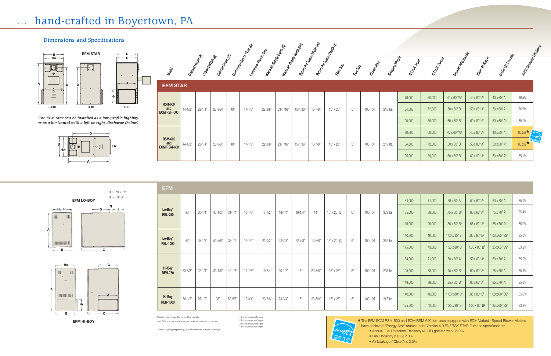**EFM HI-BOY**

**EFM LO-BOY**

 $\mathbf{c}$ 

#### **Dimensions and Specifications**

\* Specify front or rear flue on Lo-Boy models

400 CFM = 1 ton. Additional specifications available on request.

*The EFM Star can be installed as a low-profile highboy or as a horizontal with a left or right discharge (below).*

> \* The EFM ECM RSM-500 and ECM RSM-600 furnaces equipped with ECM Variable-Speed Blower Motors have achieved "Energy Star" status under Version 4.0 ENERGY STAR Furnace specifications: • Annual Fuel Utilization Efficiency (AFUE) greater than 85.0%



• Fan Efficiency ("e") ≤ 2.0% • Air Leakage ("Qleak") ≤ 2.0%

 Pump pressure175 psi Pump pressure150 psi Pump pressure165 psi Pump pressure100 psi



**A**

**A**

**B**

**B**

 $\vert$   $\vert$   $\vert$   $\vert$   $\vert$   $\vert$ 

 $| 101100110111111|$ 

**G**

**Ho**

 $\qquad \qquad \qquad \Box$ 

 $. 1001110101111011111$ 

 $\| \text{ } \|$ 

**Ho, Hr**  $\rightarrow$ 

**Hr**

 $\subset$ 

 $\ensuremath{\mathsf{III}}\xspace$ 

**J**

– G—∾¦'r<sup>⊶</sup> J⊸

REL-750: 2-7/8" REL-1000: 4"

 $\mathbf{c}$ 



| Magel                                |             | abinet Keiphy<br>abiner Weish | abirer      | <b>Depth (C)</b> | ଛ<br>centerine-Kie to Koor<br>terine | Flee to Side<br>$\Rightarrow$<br>Wam | Support Depth<br>Wam | <b>Itr Supply West</b><br>tor, | Michigan<br><b>Air Supply</b><br>❖<br>turn. | Ê<br>Depth<br><b>Supply</b><br>ERR<br>iko | Rile Sixe | <b>csle</b><br>Bibero | Weigh<br>Shipping | 8.TU.H. IRDUN | 8.TU.K. Orbot | $\mathcal{L}_{\mathcal{O}_\mathsf{A}}$<br>46<br><b>Beckett</b> | ROMBAZIE<br><b>Piello</b>              | 1 North<br>Cathin E.                   | ARIE  |
|--------------------------------------|-------------|-------------------------------|-------------|------------------|--------------------------------------|--------------------------------------|----------------------|--------------------------------|---------------------------------------------|-------------------------------------------|-----------|-----------------------|-------------------|---------------|---------------|----------------------------------------------------------------|----------------------------------------|----------------------------------------|-------|
| <b>EFM STAR</b>                      |             |                               |             |                  |                                      |                                      |                      |                                |                                             |                                           |           |                       |                   |               |               |                                                                |                                        |                                        |       |
|                                      |             |                               |             |                  |                                      |                                      |                      |                                |                                             |                                           |           |                       |                   | 70,000        | 60,000        | $.40 \times 60^{\circ}$ W <sup>1</sup>                         | $.40 \times 80^{\circ}$ A <sup>3</sup> | .40 x 60 $^{\circ}$ A <sup>1</sup>     | 86.5% |
| <b>RSH-600</b><br>and<br>ECM RSH-600 | $44 - 1/2"$ | $22 - 1/4"$                   | $23 - 3/8"$ | 40"              | $11 - 1/8"$                          | $22 - 3/8"$                          | $21 - 1/16"$         | $15 - 1/16"$                   | $18 - 7/8"$                                 | 16" x 20"                                 | 5"        | 100-10T               | 215 lbs.          | 84,000        | 72,000        | $.50 \times 60^{\circ}$ B <sup>2</sup>                         | $.50 \times 80^{\circ}$ A <sup>3</sup> | $.50 \times 60^{\circ}$ A <sup>3</sup> | 86.2% |
|                                      |             |                               |             |                  |                                      |                                      |                      |                                |                                             |                                           |           |                       |                   |               |               |                                                                |                                        |                                        |       |

| . .     |             |         |     |             |             |              |              |             |           |    |         |          |         |        |                                        |                                        |                                        |            |            |
|---------|-------------|---------|-----|-------------|-------------|--------------|--------------|-------------|-----------|----|---------|----------|---------|--------|----------------------------------------|----------------------------------------|----------------------------------------|------------|------------|
|         |             |         |     |             |             |              |              |             |           |    |         |          | 70,000  | 60,000 | $.40 \times 60^{\circ}$ W <sup>1</sup> | $.40 \times 80^{\circ}$ A <sup>3</sup> | $.40 \times 60^{\circ}$ A <sup>1</sup> | 86.5%      |            |
| 44-1/2" | $22 - 1/4"$ | 23-3/8" | 40" | $11 - 1/8"$ | $22 - 3/8"$ | $21 - 1/16"$ | $15 - 1/16"$ | $18 - 7/8"$ | 16" x 20" | 5" | 100-10T | 215 lbs. | 84,000  | 72,000 | $.50 \times 60^{\circ}$ B <sup>2</sup> | $.50 \times 80^{\circ}$ A <sup>3</sup> | $.50 \times 60^{\circ}$ A <sup>3</sup> | 86.2%      |            |
|         |             |         |     |             |             |              |              |             |           |    |         |          | 105,000 | 89,000 | .60 x 60 $^{\circ}$ B <sup>2</sup>     | $.60 \times 80^{\circ}$ A <sup>3</sup> | $.60 \times 60^{\circ}$ A <sup>3</sup> | 85.1%      |            |
|         |             |         |     |             |             |              |              |             |           |    |         |          | 70,000  | 60,000 | $.40 \times 60^{\circ}$ W <sup>1</sup> | $.40 \times 80^{\circ}$ A <sup>3</sup> | $.40 \times 60^{\circ}$ A <sup>1</sup> | 86.5%*     | - energy 1 |
| 44-1/2" | $22 - 1/4"$ | 23-3/8" | 40" | $11 - 1/8"$ | $22 - 3/8"$ | $21 - 1/16"$ | $15 - 1/16"$ | $18 - 7/8"$ | 16" x 20" | 5" | 100-10T | 215 lbs. | 84,000  | 72,000 | $.50 \times 60^{\circ}$ B <sup>2</sup> | $.50 \times 80^{\circ}$ A <sup>3</sup> | $.50 \times 60^{\circ}$ A <sup>3</sup> | $86.2\%$ * |            |
|         |             |         |     |             |             |              |              |             |           |    |         |          | 105,000 | 89,000 | $.60 \times 60^{\circ}$ B <sup>2</sup> | $.60 \times 80^{\circ}$ A <sup>3</sup> | $.60 \times 60^{\circ}$ A <sup>3</sup> | 85.1%      |            |

**RSM-600 and ECM RSM-600**

| <b>EFM</b>                 |             |             |             |             |             |             |             |             |             |                      |      |         |          |         |         |                                                   |                                         |                                          |       |
|----------------------------|-------------|-------------|-------------|-------------|-------------|-------------|-------------|-------------|-------------|----------------------|------|---------|----------|---------|---------|---------------------------------------------------|-----------------------------------------|------------------------------------------|-------|
| Lo-Boy*<br><b>REL-750</b>  |             |             |             |             |             |             | $18 - 1/4"$ |             |             |                      |      |         |          | 84,000  | 71,000  | .60 x 80 $^{\circ}$ A <sup>4</sup>                | $.50 \times 60^{\circ}$ A <sup>2</sup>  | $.60 \times 70^{\circ}$ A <sup>4</sup>   | 85.9% |
|                            | 40"         | $20 - 1/4"$ | $47 - 1/2"$ | $31 - 1/4"$ | $10 - 1/8"$ | $17 - 1/2"$ |             | $18 - 1/4"$ | 14"         | 16" x 20" (2)        | $6"$ | 100-10T | 323 lbs. | 105,000 | 88,000  | .75 x 80 $^{\circ}$ B <sup>4</sup>                | .60 x 60 $^{\circ}$ A <sup>2</sup>      | $.75 \times 70^{\circ}$ A <sup>4</sup>   | 85.4% |
|                            |             |             |             |             |             |             |             |             |             |                      |      |         |          | 119,000 | 99,000  | $.85 \times 80^{\circ}$ $\mathrm{B}^{\mathrm{4}}$ | .65 x 60 $^{\circ}$ A <sup>2</sup>      | $.85 \times 70^{\circ}$ A <sup>4</sup>   | 85.0% |
| Lo-Boy*<br><b>REL-1000</b> | 46"         | $25 - 1/8"$ |             | $38 - 1/2"$ |             |             | $22 - 7/8"$ | $22 - 7/8"$ | $13 - 5/8"$ | $16" \times 20"$ (2) | $6"$ |         |          | 140,000 | 116,000 | $1.00 \times 80^{\circ}$ B <sup>4</sup>           | .85 x 80 $^{\circ}$ B <sup>2</sup>      | $1.00 \times 60^{\circ}$ SS <sup>4</sup> | 85.0% |
|                            |             |             | $53 - 5/8"$ |             | $12 - 1/2"$ | $21 - 1/2"$ |             |             |             |                      |      | 100-10T | 362 lbs. | 175,000 | 143,000 | $1.25 \times 80^{\circ}$ B <sup>4</sup>           | $1.00 \times 80^{\circ}$ B <sup>2</sup> | 1.25 x 60° SS <sup>4</sup>               | 83.2% |
|                            |             |             |             |             |             |             | $20 - 1/2"$ | 15"         | $23 - 5/8"$ | 16" x 25"            | 6"   | 100-10T |          | 84,000  | 71,000  | .60 x 80 $\degree$ A <sup>4</sup>                 | $.50 \times 60^{\circ}$ A <sup>2</sup>  | .60 x 70 $\degree$ A <sup>4</sup>        | 85.9% |
| Hi-Boy<br><b>REH-750</b>   | $53 - 5/8"$ | $22 - 1/4"$ | $33 - 1/8"$ | $49 - 1/8"$ | $11 - 1/8"$ | $19 - 3/4"$ |             |             |             |                      |      |         | 298 lbs. | 105,000 | 88,000  | .75 x 80 $^{\circ}$ B <sup>4</sup>                | .60 x 60 $\degree$ A <sup>2</sup>       | .75 x 70 $\textdegree$ A <sup>4</sup>    | 85.4% |
|                            |             |             |             |             |             |             |             |             |             |                      |      |         |          | 119,000 | 99,000  | $.85 \times 80^{\circ}$ $\mathrm{B}^4$            | .65 x 60 $\degree$ A <sup>2</sup>       | $.85 \times 70^{\circ}$ A <sup>4</sup>   | 85.0% |
| Hi-Boy<br><b>REH-1000</b>  | $56 - 1/2"$ | $25 - 1/2"$ |             |             |             |             | $23 - 3/4"$ | 15"         |             |                      |      |         |          | 140,000 | 116,000 | $1.00 \times 80^\circ B^4$                        | .85 x 80 $^{\circ}$ B <sup>2</sup>      | $1.00 \times 60^{\circ}$ SS <sup>4</sup> | 85.0% |
|                            |             |             | 38"         | 52-5/8"     | $12 - 3/4"$ | $23 - 3/8"$ |             |             | $23 - 5/8"$ | 16" x 25"            | $6"$ | 100-10T | 347 lbs. | 175,000 | 143,000 | $1.25 \times 80^\circ$ B <sup>4</sup>             | $1.00 \times 80^\circ$ B <sup>2</sup>   | 1.25 x 60° SS <sup>4</sup>               | 83.2% |



Due to ongoing engineering, specifications are subject to change.